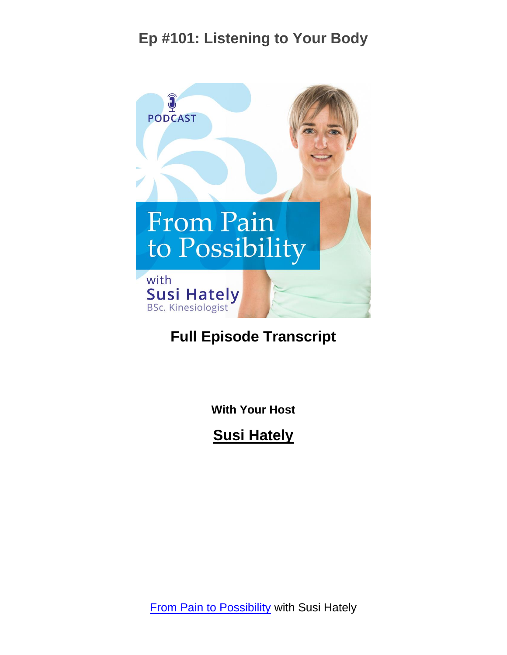

#### **Full Episode Transcript**

**With Your Host**

**Susi Hately**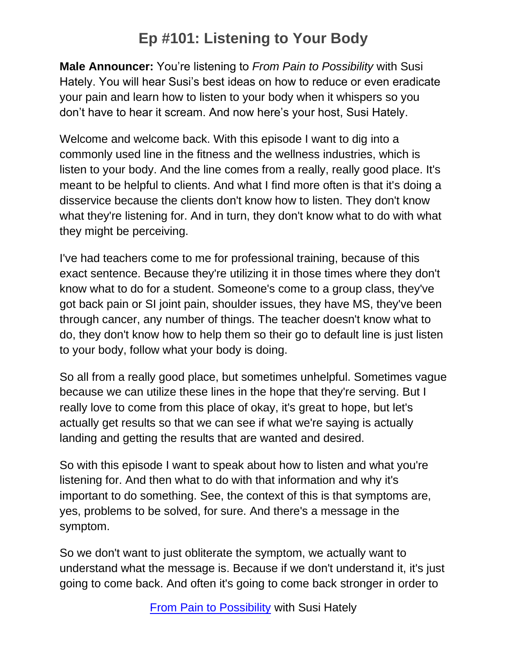**Male Announcer:** You're listening to *From Pain to Possibility* with Susi Hately. You will hear Susi's best ideas on how to reduce or even eradicate your pain and learn how to listen to your body when it whispers so you don't have to hear it scream. And now here's your host, Susi Hately.

Welcome and welcome back. With this episode I want to dig into a commonly used line in the fitness and the wellness industries, which is listen to your body. And the line comes from a really, really good place. It's meant to be helpful to clients. And what I find more often is that it's doing a disservice because the clients don't know how to listen. They don't know what they're listening for. And in turn, they don't know what to do with what they might be perceiving.

I've had teachers come to me for professional training, because of this exact sentence. Because they're utilizing it in those times where they don't know what to do for a student. Someone's come to a group class, they've got back pain or SI joint pain, shoulder issues, they have MS, they've been through cancer, any number of things. The teacher doesn't know what to do, they don't know how to help them so their go to default line is just listen to your body, follow what your body is doing.

So all from a really good place, but sometimes unhelpful. Sometimes vague because we can utilize these lines in the hope that they're serving. But I really love to come from this place of okay, it's great to hope, but let's actually get results so that we can see if what we're saying is actually landing and getting the results that are wanted and desired.

So with this episode I want to speak about how to listen and what you're listening for. And then what to do with that information and why it's important to do something. See, the context of this is that symptoms are, yes, problems to be solved, for sure. And there's a message in the symptom.

So we don't want to just obliterate the symptom, we actually want to understand what the message is. Because if we don't understand it, it's just going to come back. And often it's going to come back stronger in order to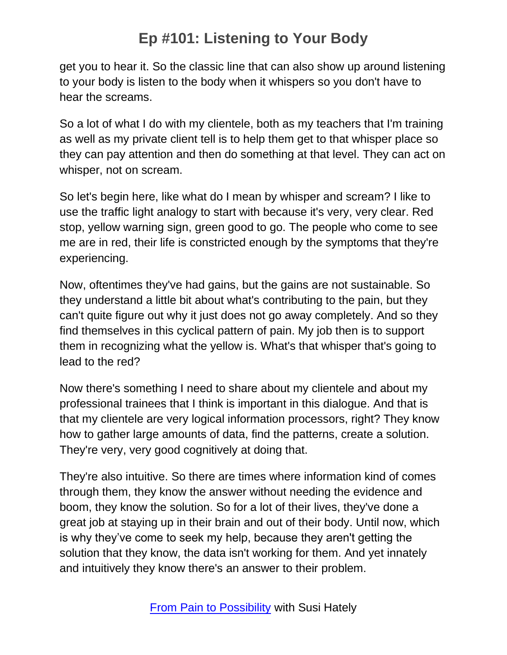get you to hear it. So the classic line that can also show up around listening to your body is listen to the body when it whispers so you don't have to hear the screams.

So a lot of what I do with my clientele, both as my teachers that I'm training as well as my private client tell is to help them get to that whisper place so they can pay attention and then do something at that level. They can act on whisper, not on scream.

So let's begin here, like what do I mean by whisper and scream? I like to use the traffic light analogy to start with because it's very, very clear. Red stop, yellow warning sign, green good to go. The people who come to see me are in red, their life is constricted enough by the symptoms that they're experiencing.

Now, oftentimes they've had gains, but the gains are not sustainable. So they understand a little bit about what's contributing to the pain, but they can't quite figure out why it just does not go away completely. And so they find themselves in this cyclical pattern of pain. My job then is to support them in recognizing what the yellow is. What's that whisper that's going to lead to the red?

Now there's something I need to share about my clientele and about my professional trainees that I think is important in this dialogue. And that is that my clientele are very logical information processors, right? They know how to gather large amounts of data, find the patterns, create a solution. They're very, very good cognitively at doing that.

They're also intuitive. So there are times where information kind of comes through them, they know the answer without needing the evidence and boom, they know the solution. So for a lot of their lives, they've done a great job at staying up in their brain and out of their body. Until now, which is why they've come to seek my help, because they aren't getting the solution that they know, the data isn't working for them. And yet innately and intuitively they know there's an answer to their problem.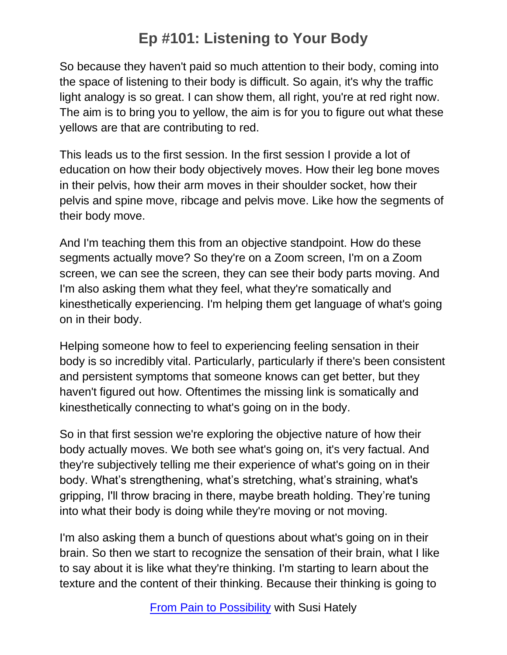So because they haven't paid so much attention to their body, coming into the space of listening to their body is difficult. So again, it's why the traffic light analogy is so great. I can show them, all right, you're at red right now. The aim is to bring you to yellow, the aim is for you to figure out what these yellows are that are contributing to red.

This leads us to the first session. In the first session I provide a lot of education on how their body objectively moves. How their leg bone moves in their pelvis, how their arm moves in their shoulder socket, how their pelvis and spine move, ribcage and pelvis move. Like how the segments of their body move.

And I'm teaching them this from an objective standpoint. How do these segments actually move? So they're on a Zoom screen, I'm on a Zoom screen, we can see the screen, they can see their body parts moving. And I'm also asking them what they feel, what they're somatically and kinesthetically experiencing. I'm helping them get language of what's going on in their body.

Helping someone how to feel to experiencing feeling sensation in their body is so incredibly vital. Particularly, particularly if there's been consistent and persistent symptoms that someone knows can get better, but they haven't figured out how. Oftentimes the missing link is somatically and kinesthetically connecting to what's going on in the body.

So in that first session we're exploring the objective nature of how their body actually moves. We both see what's going on, it's very factual. And they're subjectively telling me their experience of what's going on in their body. What's strengthening, what's stretching, what's straining, what's gripping, I'll throw bracing in there, maybe breath holding. They're tuning into what their body is doing while they're moving or not moving.

I'm also asking them a bunch of questions about what's going on in their brain. So then we start to recognize the sensation of their brain, what I like to say about it is like what they're thinking. I'm starting to learn about the texture and the content of their thinking. Because their thinking is going to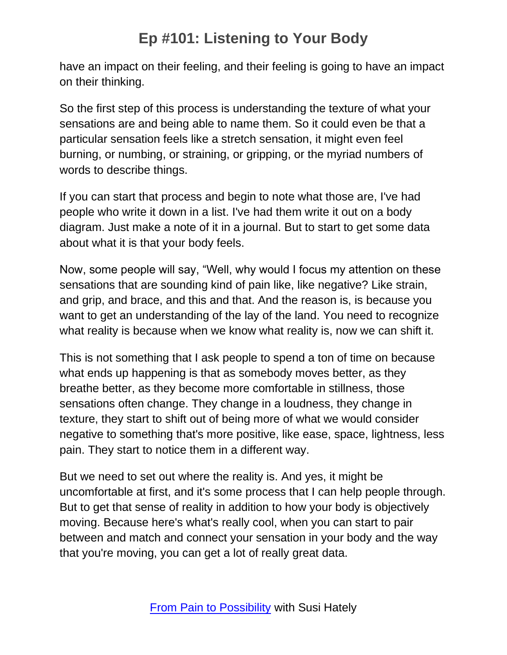have an impact on their feeling, and their feeling is going to have an impact on their thinking.

So the first step of this process is understanding the texture of what your sensations are and being able to name them. So it could even be that a particular sensation feels like a stretch sensation, it might even feel burning, or numbing, or straining, or gripping, or the myriad numbers of words to describe things.

If you can start that process and begin to note what those are, I've had people who write it down in a list. I've had them write it out on a body diagram. Just make a note of it in a journal. But to start to get some data about what it is that your body feels.

Now, some people will say, "Well, why would I focus my attention on these sensations that are sounding kind of pain like, like negative? Like strain, and grip, and brace, and this and that. And the reason is, is because you want to get an understanding of the lay of the land. You need to recognize what reality is because when we know what reality is, now we can shift it.

This is not something that I ask people to spend a ton of time on because what ends up happening is that as somebody moves better, as they breathe better, as they become more comfortable in stillness, those sensations often change. They change in a loudness, they change in texture, they start to shift out of being more of what we would consider negative to something that's more positive, like ease, space, lightness, less pain. They start to notice them in a different way.

But we need to set out where the reality is. And yes, it might be uncomfortable at first, and it's some process that I can help people through. But to get that sense of reality in addition to how your body is objectively moving. Because here's what's really cool, when you can start to pair between and match and connect your sensation in your body and the way that you're moving, you can get a lot of really great data.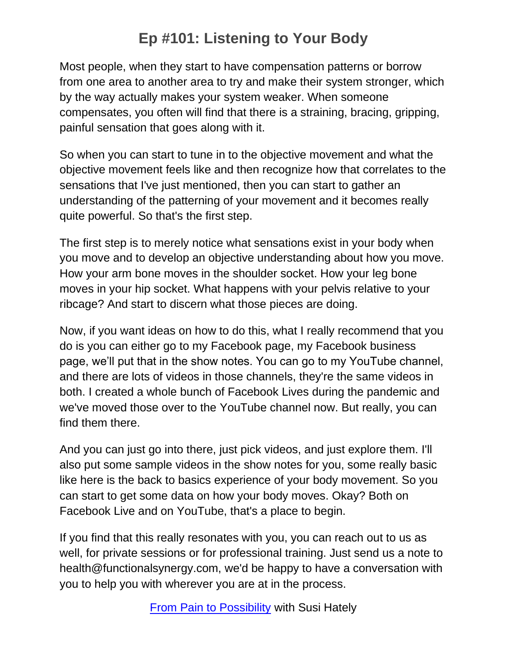Most people, when they start to have compensation patterns or borrow from one area to another area to try and make their system stronger, which by the way actually makes your system weaker. When someone compensates, you often will find that there is a straining, bracing, gripping, painful sensation that goes along with it.

So when you can start to tune in to the objective movement and what the objective movement feels like and then recognize how that correlates to the sensations that I've just mentioned, then you can start to gather an understanding of the patterning of your movement and it becomes really quite powerful. So that's the first step.

The first step is to merely notice what sensations exist in your body when you move and to develop an objective understanding about how you move. How your arm bone moves in the shoulder socket. How your leg bone moves in your hip socket. What happens with your pelvis relative to your ribcage? And start to discern what those pieces are doing.

Now, if you want ideas on how to do this, what I really recommend that you do is you can either go to my Facebook page, my Facebook business page, we'll put that in the show notes. You can go to my YouTube channel, and there are lots of videos in those channels, they're the same videos in both. I created a whole bunch of Facebook Lives during the pandemic and we've moved those over to the YouTube channel now. But really, you can find them there.

And you can just go into there, just pick videos, and just explore them. I'll also put some sample videos in the show notes for you, some really basic like here is the back to basics experience of your body movement. So you can start to get some data on how your body moves. Okay? Both on Facebook Live and on YouTube, that's a place to begin.

If you find that this really resonates with you, you can reach out to us as well, for private sessions or for professional training. Just send us a note to health@functionalsynergy.com, we'd be happy to have a conversation with you to help you with wherever you are at in the process.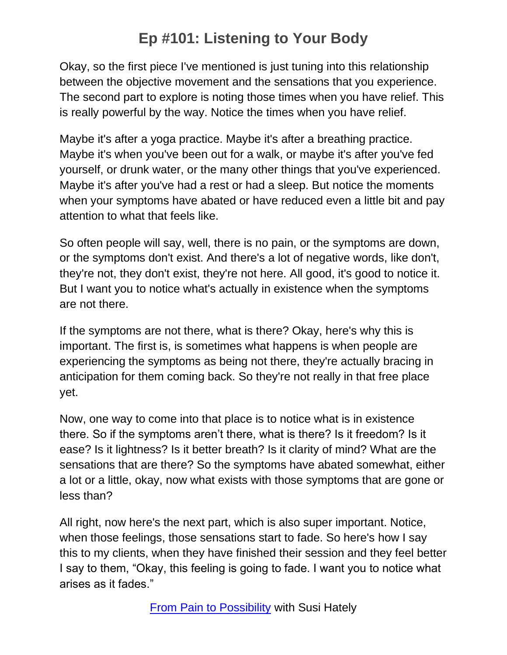Okay, so the first piece I've mentioned is just tuning into this relationship between the objective movement and the sensations that you experience. The second part to explore is noting those times when you have relief. This is really powerful by the way. Notice the times when you have relief.

Maybe it's after a yoga practice. Maybe it's after a breathing practice. Maybe it's when you've been out for a walk, or maybe it's after you've fed yourself, or drunk water, or the many other things that you've experienced. Maybe it's after you've had a rest or had a sleep. But notice the moments when your symptoms have abated or have reduced even a little bit and pay attention to what that feels like.

So often people will say, well, there is no pain, or the symptoms are down, or the symptoms don't exist. And there's a lot of negative words, like don't, they're not, they don't exist, they're not here. All good, it's good to notice it. But I want you to notice what's actually in existence when the symptoms are not there.

If the symptoms are not there, what is there? Okay, here's why this is important. The first is, is sometimes what happens is when people are experiencing the symptoms as being not there, they're actually bracing in anticipation for them coming back. So they're not really in that free place yet.

Now, one way to come into that place is to notice what is in existence there. So if the symptoms aren't there, what is there? Is it freedom? Is it ease? Is it lightness? Is it better breath? Is it clarity of mind? What are the sensations that are there? So the symptoms have abated somewhat, either a lot or a little, okay, now what exists with those symptoms that are gone or less than?

All right, now here's the next part, which is also super important. Notice, when those feelings, those sensations start to fade. So here's how I say this to my clients, when they have finished their session and they feel better I say to them, "Okay, this feeling is going to fade. I want you to notice what arises as it fades."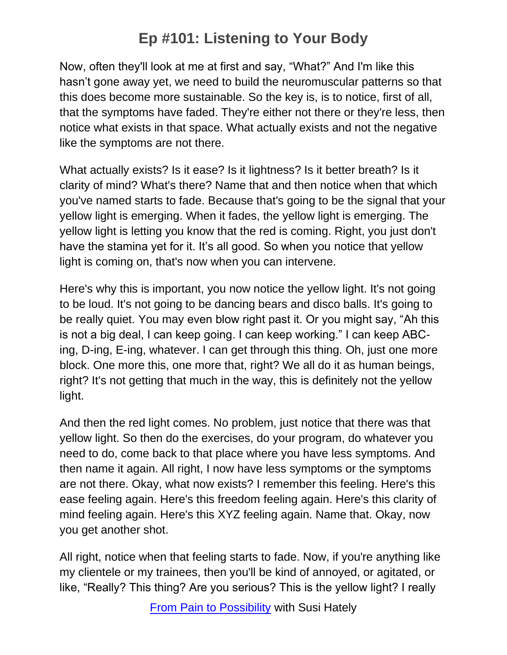Now, often they'll look at me at first and say, "What?" And I'm like this hasn't gone away yet, we need to build the neuromuscular patterns so that this does become more sustainable. So the key is, is to notice, first of all, that the symptoms have faded. They're either not there or they're less, then notice what exists in that space. What actually exists and not the negative like the symptoms are not there.

What actually exists? Is it ease? Is it lightness? Is it better breath? Is it clarity of mind? What's there? Name that and then notice when that which you've named starts to fade. Because that's going to be the signal that your yellow light is emerging. When it fades, the yellow light is emerging. The yellow light is letting you know that the red is coming. Right, you just don't have the stamina yet for it. It's all good. So when you notice that yellow light is coming on, that's now when you can intervene.

Here's why this is important, you now notice the yellow light. It's not going to be loud. It's not going to be dancing bears and disco balls. It's going to be really quiet. You may even blow right past it. Or you might say, "Ah this is not a big deal, I can keep going. I can keep working." I can keep ABCing, D-ing, E-ing, whatever. I can get through this thing. Oh, just one more block. One more this, one more that, right? We all do it as human beings, right? It's not getting that much in the way, this is definitely not the yellow light.

And then the red light comes. No problem, just notice that there was that yellow light. So then do the exercises, do your program, do whatever you need to do, come back to that place where you have less symptoms. And then name it again. All right, I now have less symptoms or the symptoms are not there. Okay, what now exists? I remember this feeling. Here's this ease feeling again. Here's this freedom feeling again. Here's this clarity of mind feeling again. Here's this XYZ feeling again. Name that. Okay, now you get another shot.

All right, notice when that feeling starts to fade. Now, if you're anything like my clientele or my trainees, then you'll be kind of annoyed, or agitated, or like, "Really? This thing? Are you serious? This is the yellow light? I really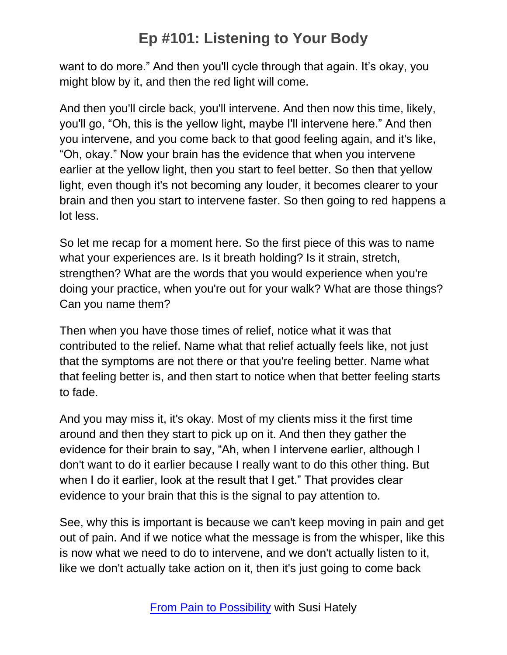want to do more." And then you'll cycle through that again. It's okay, you might blow by it, and then the red light will come.

And then you'll circle back, you'll intervene. And then now this time, likely, you'll go, "Oh, this is the yellow light, maybe I'll intervene here." And then you intervene, and you come back to that good feeling again, and it's like, "Oh, okay." Now your brain has the evidence that when you intervene earlier at the yellow light, then you start to feel better. So then that yellow light, even though it's not becoming any louder, it becomes clearer to your brain and then you start to intervene faster. So then going to red happens a lot less.

So let me recap for a moment here. So the first piece of this was to name what your experiences are. Is it breath holding? Is it strain, stretch, strengthen? What are the words that you would experience when you're doing your practice, when you're out for your walk? What are those things? Can you name them?

Then when you have those times of relief, notice what it was that contributed to the relief. Name what that relief actually feels like, not just that the symptoms are not there or that you're feeling better. Name what that feeling better is, and then start to notice when that better feeling starts to fade.

And you may miss it, it's okay. Most of my clients miss it the first time around and then they start to pick up on it. And then they gather the evidence for their brain to say, "Ah, when I intervene earlier, although I don't want to do it earlier because I really want to do this other thing. But when I do it earlier, look at the result that I get." That provides clear evidence to your brain that this is the signal to pay attention to.

See, why this is important is because we can't keep moving in pain and get out of pain. And if we notice what the message is from the whisper, like this is now what we need to do to intervene, and we don't actually listen to it, like we don't actually take action on it, then it's just going to come back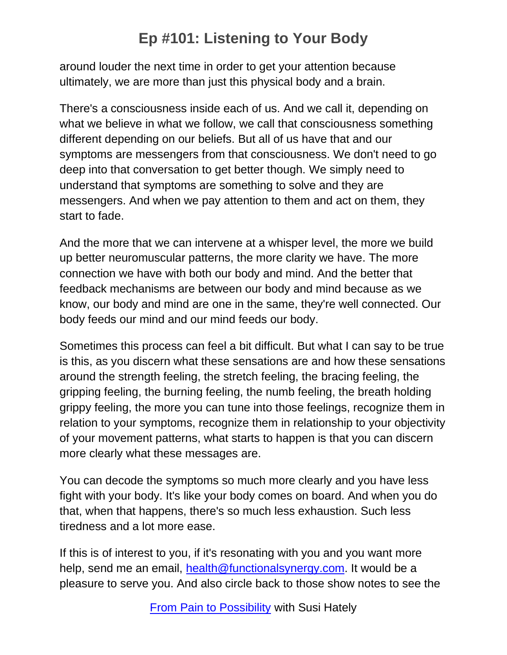around louder the next time in order to get your attention because ultimately, we are more than just this physical body and a brain.

There's a consciousness inside each of us. And we call it, depending on what we believe in what we follow, we call that consciousness something different depending on our beliefs. But all of us have that and our symptoms are messengers from that consciousness. We don't need to go deep into that conversation to get better though. We simply need to understand that symptoms are something to solve and they are messengers. And when we pay attention to them and act on them, they start to fade.

And the more that we can intervene at a whisper level, the more we build up better neuromuscular patterns, the more clarity we have. The more connection we have with both our body and mind. And the better that feedback mechanisms are between our body and mind because as we know, our body and mind are one in the same, they're well connected. Our body feeds our mind and our mind feeds our body.

Sometimes this process can feel a bit difficult. But what I can say to be true is this, as you discern what these sensations are and how these sensations around the strength feeling, the stretch feeling, the bracing feeling, the gripping feeling, the burning feeling, the numb feeling, the breath holding grippy feeling, the more you can tune into those feelings, recognize them in relation to your symptoms, recognize them in relationship to your objectivity of your movement patterns, what starts to happen is that you can discern more clearly what these messages are.

You can decode the symptoms so much more clearly and you have less fight with your body. It's like your body comes on board. And when you do that, when that happens, there's so much less exhaustion. Such less tiredness and a lot more ease.

If this is of interest to you, if it's resonating with you and you want more help, send me an email, [health@functionalsynergy.com.](mailto:health@functionalsynergy.com) It would be a pleasure to serve you. And also circle back to those show notes to see the